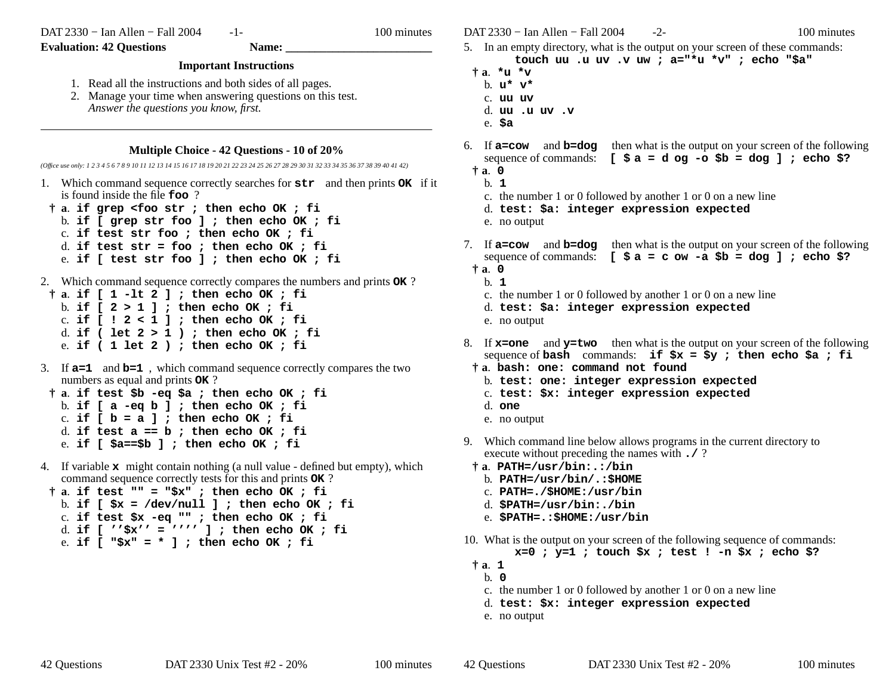DAT 2330 − Ian Allen − Fall 2004

-1- 100 minutes

**Evaluation: 42 Questions Name:** 

## **Important Instructions**

- 1. Read all the instructions and both sides of all pages.
- 2. Manage your time when answering questions on this test. *Answer the questions you know, first.*

## **Multiple Choice - 42 Questions - 10 of 20%**

*(Office use only: 1 2 3 4 5 6 7 8 9 10 11 12 13 14 15 16 17 18 19 20 21 22 23 24 25 26 27 28 29 30 31 32 33 34 35 36 37 38 39 40 41 42)*

- 1. Which command sequence correctly searches for **str** and then prints **OK** if it is found inside the file **foo** ?
- **† <sup>a</sup>**. **if grep <foo str ; then echo OK ; fi**
	- b. **if [ grep str foo ] ; then echo OK ; fi**
	- c. **if test str foo ; then echo OK ; fi**
	- d. **if test str = foo ; then echo OK ; fi**
	- e. **if [ test str foo ] ; then echo OK ; fi**
- 2. Which command sequence correctly compares the numbers and prints **OK** ?
- **† <sup>a</sup>**. **if [ 1 -lt 2 ] ; then echo OK ; fi** b. **if [ 2 > 1 ] ; then echo OK ; fi** c. **if [ ! 2 < 1 ] ; then echo OK ; fi** d. **if ( let 2 > 1 ) ; then echo OK ; fi** e. **if ( 1 let 2 ) ; then echo OK ; fi**
- 3. If **a=1** and **b=1** , which command sequence correctly compares the two numbers as equal and prints **OK** ?
- **† <sup>a</sup>**. **if test \$b -eq \$a ; then echo OK ; fi** b. **if [ a -eq b ] ; then echo OK ; fi** c. **if [ b = a ] ; then echo OK ; fi** d. **if test a == b ; then echo OK ; fi** e. **if [ \$a==\$b ] ; then echo OK ; fi**
- 4. If variable **x** might contain nothing (a null value defined but empty), which command sequence correctly tests for this and prints **OK** ?
- **† <sup>a</sup>**. **if test "" = "\$x" ; then echo OK ; fi** b. **if [ \$x = /dev/null ] ; then echo OK ; fi** c. **if test \$x -eq "" ; then echo OK ; fi** d. **if [ ''\$x'' = '''' ] ; then echo OK ; fi** e. **if [ "\$x" = \* ] ; then echo OK ; fi**

DAT 2330 − Ian Allen − Fall 2004 - 2- 100 minutes

- 5. In an empty directory, what is the output on your screen of these commands: **touch uu .u uv .v uw ; a="\*u \*v" ; echo "\$a"**
- **† <sup>a</sup>**. **\*u \*v**
	- b. **u\* v\***
	- c. **uu uv**
	- d. **uu .u uv .v**
	- e. **\$a**
- 6. If **a=cow** and **b=dog** then what is the output on your screen of the following sequence of commands:  $[\$a = d \text{ og } -\text{o} \$b = d \text{ og } ]$ ; echo \$?
	- **† <sup>a</sup>**. **0**
	- b. **1**
	- c. the number 1 or 0 followed by another 1 or 0 on a new line
	- d. **test: \$a: integer expression expected**
	- e. no output
- 7. If **a=cow** and **b=dog** then what is the output on your screen of the following sequence of commands: **[ \$ a=c ow -a \$b = dog ] ; echo \$?**  $\dagger$ **a**.  $0$ 
	- b. **1**
		- c. the number 1 or 0 followed by another 1 or 0 on a new line
		- d. **test: \$a: integer expression expected**
	- e. no output
- 8. If **x=one** and **y=two** then what is the output on your screen of the following sequence of **bash** commands: **if \$x = \$y ; then echo \$a ; fi**
- **† <sup>a</sup>**. **bash: one: command not found**
	- b. **test: one: integer expression expected**
	- c. **test: \$x: integer expression expected**
	- d. **one**
	- e. no output
- 9. Which command line below allows programs in the current directory to execute without preceding the names with **./** ?
- **† <sup>a</sup>**. **PATH=/usr/bin:.:/bin**
	- b. **PATH=/usr/bin/.:\$HOME**
	- c. **PATH=./\$HOME:/usr/bin**
	- d. **\$PATH=/usr/bin:./bin**
	- e. **\$PATH=.:\$HOME:/usr/bin**
- 10. What is the output on your screen of the following sequence of commands:
	- **x=0 ; y=1 ; touch \$x ; test ! -n \$x ; echo \$?**
- **† <sup>a</sup>**. **1**
	- b. **0**
	- c. the number 1 or 0 followed by another 1 or 0 on a new line
	- d. **test: \$x: integer expression expected**
	- e. no output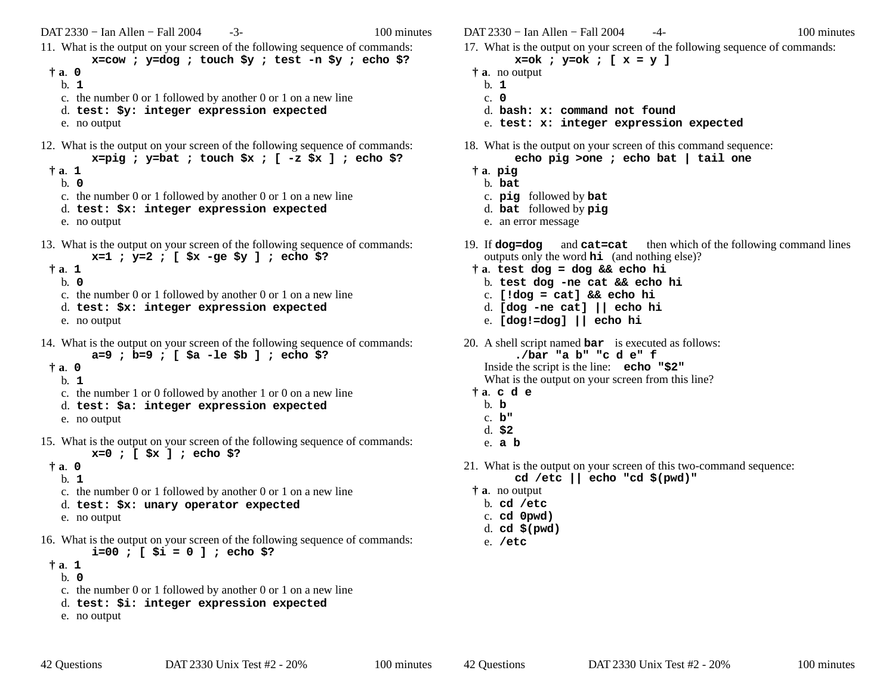DAT 2330 − Ian Allen − Fall 2004 - 3- 100 minutes 11. What is the output on your screen of the following sequence of commands: **x=cow ; y=dog ; touch \$y ; test -n \$y ; echo \$? † <sup>a</sup>**. **0** b. **1**c. the number 0 or 1 followed by another 0 or 1 on a new line d. **test: \$y: integer expression expected** e. no output 12. What is the output on your screen of the following sequence of commands: **x=pig ; y=bat ; touch \$x ; [ -z \$x ] ; echo \$? † <sup>a</sup>**. **1** b. **0**c. the number 0 or 1 followed by another 0 or 1 on a new line d. **test: \$x: integer expression expected** e. no output 13. What is the output on your screen of the following sequence of commands: **x=1 ; y=2 ; [ \$x -ge \$y ] ; echo \$? † <sup>a</sup>**. **1** b. **0**c. the number 0 or 1 followed by another 0 or 1 on a new line d. **test: \$x: integer expression expected** e. no output 14. What is the output on your screen of the following sequence of commands: **a=9 ; b=9 ; [ \$a -le \$b ] ; echo \$? † <sup>a</sup>**. **0** b. **1**c. the number 1 or 0 followed by another 1 or 0 on a new line d. **test: \$a: integer expression expected** e. no output 15. What is the output on your screen of the following sequence of commands: **x=0 ; [ \$x ] ; echo \$? † <sup>a</sup>**. **0** b. **1**c. the number 0 or 1 followed by another 0 or 1 on a new line d. **test: \$x: unary operator expected** e. no output 16. What is the output on your screen of the following sequence of commands: **i=00 ; [ \$i = 0 ] ; echo \$? † <sup>a</sup>**. **1** b. **0**c. the number 0 or 1 followed by another 0 or 1 on a new line d. **test: \$i: integer expression expected** e. no output

e. **[dog!=dog] || echo hi** 20. A shell script named **bar** is executed as follows: **./bar "a b" "c d e" f** Inside the script is the line: **echo "\$2"** What is the output on your screen from this line? **† <sup>a</sup>**. **cde** b. **b**c. **b"**d. **\$2** e. **<sup>a</sup> b** 21. What is the output on your screen of this two-command sequence: **cd /etc || echo "cd \$(pwd)" † <sup>a</sup>**. no output b. **cd /etc** c. **cd 0pwd)** d. **cd \$(pwd)** e. **/etc** 42 Questions DAT 2330 Unix Test #2 - 20% 100 minutes

DAT 2330 − Ian Allen − Fall 2004  $-4$ - 100 minutes 17. What is the output on your screen of the following sequence of commands:

and **cat=cat** then which of the following command lines

**x=ok ; y=ok ; [ x = y ]**

outputs only the word **hi** (and nothing else)?

**† <sup>a</sup>**. **test dog = dog && echo hi** b. **test dog -ne cat && echo hi** c. **[!dog = cat] && echo hi** d. **[dog -ne cat] || echo hi**

e. **test: x: integer expression expected**

18. What is the output on your screen of this command sequence: **echo pig >one ; echo bat | tail one**

d. **bash: x: command not found**

c. **pig** followed by **bat** d. **bat** followed by **pig** e. an error message

**† <sup>a</sup>**. no output b. **1**c. **0**

**† <sup>a</sup>**. **pig** b. **bat**

19. If  $d$ og= $d$ og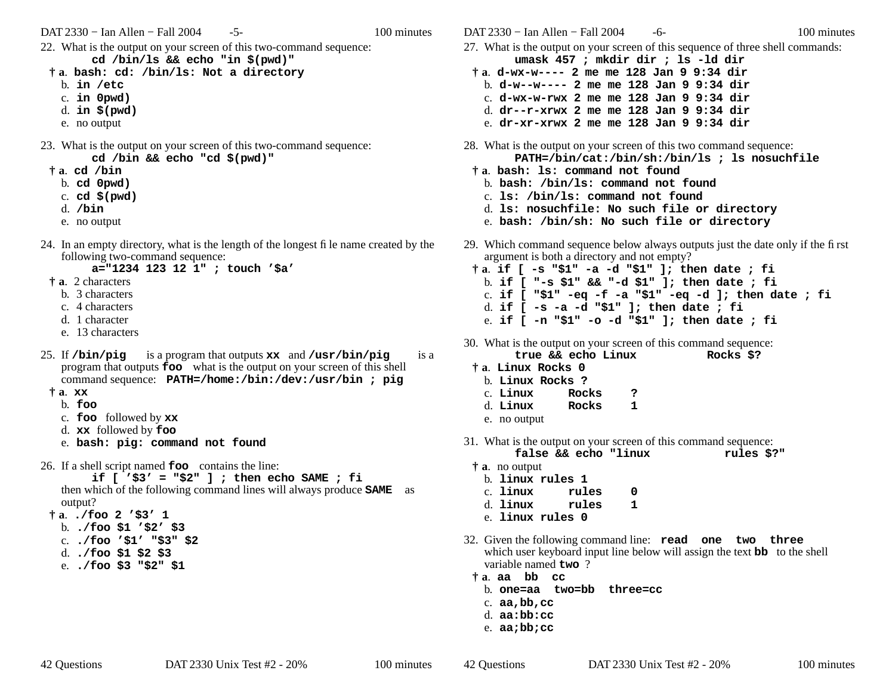$DATA 2330 - Ian Allen - Fall 2004$  $-5-$  100 minutes

- 22. What is the output on your screen of this two-command sequence: cd /bin/ls && echo "in  $\S(\text{pwd})$ "
- † a. bash: cd: /bin/ls: Not a directory
	- $b.$  in /etc
	- $c.$  in  $0$ pwd $)$
	- d. in  $$$ (pwd)
	- e. no output
- 23. What is the output on your screen of this two-command sequence: cd /bin && echo "cd  $\S$ (pwd)"
	- ta. cd /bin
		- $b.$  cd  $0$  pwd)
		- c. cd  $$$ (pwd)
		- $d.$  /bin
		- e. no output
- 24. In an empty directory, what is the length of the longest file name created by the following two-command sequence:

a="1234 123 12 1" ; touch '\$a'

- $\dagger$  **a**. 2 characters
	- b. 3 characters
	- c. 4 characters
	- d. 1 character
	- e. 13 characters
- 25. If /bin/pig is a program that outputs xx and /usr/bin/pig is a program that outputs **foo** what is the output on your screen of this shell command sequence: PATH=/home:/bin:/dev:/usr/bin ; pig
- $\ddagger$  a.  $\mathbf{xx}$ 
	- $b.$  foo
	- c.  $\mathbf{foo}$  followed by  $\mathbf{xx}$
	- d. xx followed by foo
	- e. bash: pig: command not found
- 26. If a shell script named **foo** contains the line:

if  $[$  '\$3' = "\$2" ] ; then echo SAME ; fi then which of the following command lines will always produce **SAME** as output?

- $\dagger$ a. ./foo 2 '\$3' 1
- b.  $\sqrt{500}$  \$1 '\$2' \$3
- $c.$ ./foo '\$1' "\$3" \$2
- d.  $./$ foo \$1 \$2 \$3
- e.  $\sqrt{2}$ foo \$3 "\$2" \$1

 $DATA2330 - Ian Allen - Fall 2004$ -6-

- 27. What is the output on your screen of this sequence of three shell commands: umask 457 ; mkdir dir ; ls -ld dir
	- $\dagger$  a. d-wx-w---- 2 me me 128 Jan 9 9:34 dir
	- b. d-w--w----  $2$  me me 128 Jan 9 9:34 dir
	- c. d-wx-w-rwx 2 me me  $128$  Jan 9 9:34 dir d.  $dr$ --r-xrwx 2 me me 128 Jan 9 9:34 dir
	- e.  $dr xr xr$ wx 2 me me 128 Jan 9 9:34 dir
- 28. What is the output on your screen of this two command sequence: PATH=/bin/cat:/bin/sh:/bin/ls ; ls nosuchfile
- # a. bash: 1s: command not found
	- b. bash: /bin/ls: command not found
	- c. 1s: /bin/1s: command not found
	- d. 1s: nosuchfile: No such file or directory
	- e. bash: /bin/sh: No such file or directory
- 29. Which command sequence below always outputs just the date only if the first argument is both a directory and not empty?
	- $\dot{\tau}$ a. if [ -s "\$1" -a -d "\$1" ]; then date ; fi b. if  $[$  "-s \$1" && "-d \$1" ]; then date; fi c. if [  $"\$1" -eq -f -a "\$1" -eq -d ]$ ; then date; fi d. if  $[-s -a -d$  "\$1" ]; then date; fi e. if [ -n "\$1" -o -d "\$1" ]; then date ; fi
- 30. What is the output on your screen of this command sequence: Rocks \$?
	- true && echo Linux
- † a. Linux Rocks 0
	- b. Linux Rocks ?
	- c. Linux Rocks ?  $\mathbf{1}$
	- Rocks d. Linux
	- e. no output
- 31. What is the output on your screen of this command sequence:
	- false && echo "linux rules \$?"
	- $\dagger$  **a**. no output
		- b. linux rules 1
		- c. linux  $\Omega$ rules
		- d. linux rules  $\mathbf{1}$
		- e. linux rules 0
- 32. Given the following command line: read one two three which user keyboard input line below will assign the text **bb** to the shell variable named  $two$  ?
	- ta aa bb cc
		- b. one=aa two=bb three=cc
		- c.  $aa, bb, cc$
		- d. aa:bb:cc
		- e.  $aa; bb; cc$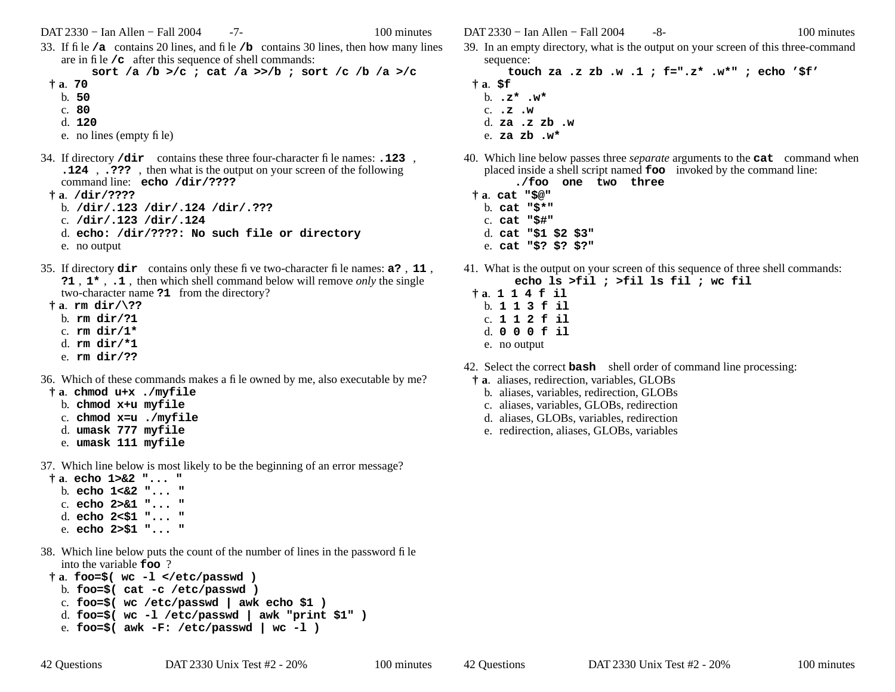DAT 2330 − Ian Allen − Fall 2004 -7- 100 minutes

33. If file **/a** contains 20 lines, and file **/b** contains 30 lines, then how many lines are in file **/c** after this sequence of shell commands:

**sort /a /b >/c ; cat /a >>/b ; sort /c /b /a >/c**

- **† <sup>a</sup>**. **70**
	- b. **50**
	- c. **80**
	- d. **120**

e. no lines (empty file)

- 34. If directory **/dir** contains these three four-character file names: **.123** , **.124** , **.???** , then what is the output on your screen of the following command line: **echo /dir/????**
	- **† <sup>a</sup>**. **/dir/????**
		- b. **/dir/.123 /dir/.124 /dir/.???**
		- c. **/dir/.123 /dir/.124**
		- d. **echo: /dir/????: No such file or directory**
		- e. no output
- 35. If directory **dir** contains only these five two-character file names: **a?** , **<sup>11</sup>** , **?1** , **1\*** , **.1** , then which shell command below will remove *only* the single two-character name **?1** from the directory?
- **† <sup>a</sup>**. **rm dir/\??**
	- b. **rm dir/?1**
	- c. **rm dir/1\***
	- d. **rm dir/\*1**
	- e. **rm dir/??**
- 36. Which of these commands makes a file owned by me, also executable by me?
- **† <sup>a</sup>**. **chmod u+x ./myfile**
	- b. **chmod x+u myfile**
	- c. **chmod x=u ./myfile**
	- d. **umask 777 myfile**
	- e. **umask 111 myfile**
- 37. Which line below is most likely to be the beginning of an error message?
- **† <sup>a</sup>**. **echo 1>&2 "... "** b. **echo 1<&2 "... "**c. **echo 2>&1 "... "**d. **echo 2<\$1 "... "** e. **echo 2>\$1 "... "**
- 38. Which line below puts the count of the number of lines in the password file into the variable **foo** ?

```
† a. foo=$( wc -l </etc/passwd )
b. foo=$( cat -c /etc/passwd )
c. foo=$( wc /etc/passwd | awk echo $1 )
d. foo=$( wc -l /etc/passwd | awk "print $1" )
```
e. **foo=\$( awk -F: /etc/passwd | wc -l )**

DAT 2330 – Ian Allen – Fall 2004 – 8- 100 minutes

- 
- 39. In an empty directory, what is the output on your screen of this three-command sequence:

**touch za .z zb .w .1 ; f=".z\* .w\*" ; echo '\$f' † <sup>a</sup>**. **\$f** b. **.z\* .w\***c. **.z .w**d. **za .z zb .w**e. **za zb .w\***

40. Which line below passes three *separate* arguments to the **cat** command when placed inside a shell script named **foo** invoked by the command line:

|  |  | ./foo one two three |
|--|--|---------------------|
|  |  |                     |

- **† <sup>a</sup>**. **cat "\$@"**
	- b. **cat "\$\*"**
	- c. **cat "\$#"**
	- d. **cat "\$1 \$2 \$3"** e. **cat "\$? \$? \$?"**
- 41. What is the output on your screen of this sequence of three shell commands: **echo ls >fil ; >fil ls fil ; wc fil**
	- **† <sup>a</sup>**. **114f il** b. **113f il** c. **112f il** d. **000f il** e. no output
- 42. Select the correct **bash** shell order of command line processing:
	- **† <sup>a</sup>**. aliases, redirection, variables, GLOBs
		- b. aliases, variables, redirection, GLOBs
		- c. aliases, variables, GLOBs, redirection
		- d. aliases, GLOBs, variables, redirection
		- e. redirection, aliases, GLOBs, variables